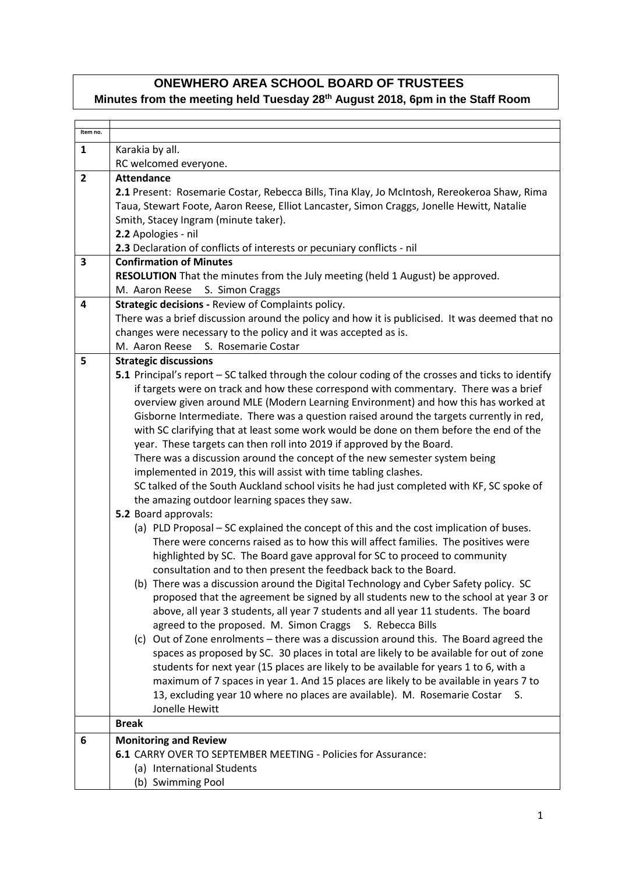## **ONEWHERO AREA SCHOOL BOARD OF TRUSTEES**

## **Minutes from the meeting held Tuesday 28th August 2018, 6pm in the Staff Room**

| Item no.       |                                                                                                                                                                              |
|----------------|------------------------------------------------------------------------------------------------------------------------------------------------------------------------------|
| $\mathbf{1}$   | Karakia by all.                                                                                                                                                              |
|                | RC welcomed everyone.                                                                                                                                                        |
| $\overline{2}$ | <b>Attendance</b>                                                                                                                                                            |
|                | 2.1 Present: Rosemarie Costar, Rebecca Bills, Tina Klay, Jo McIntosh, Rereokeroa Shaw, Rima                                                                                  |
|                | Taua, Stewart Foote, Aaron Reese, Elliot Lancaster, Simon Craggs, Jonelle Hewitt, Natalie                                                                                    |
|                | Smith, Stacey Ingram (minute taker).                                                                                                                                         |
|                | 2.2 Apologies - nil                                                                                                                                                          |
|                | 2.3 Declaration of conflicts of interests or pecuniary conflicts - nil                                                                                                       |
| 3              | <b>Confirmation of Minutes</b>                                                                                                                                               |
|                | RESOLUTION That the minutes from the July meeting (held 1 August) be approved.                                                                                               |
|                | M. Aaron Reese S. Simon Craggs                                                                                                                                               |
| 4              | Strategic decisions - Review of Complaints policy.                                                                                                                           |
|                | There was a brief discussion around the policy and how it is publicised. It was deemed that no                                                                               |
|                | changes were necessary to the policy and it was accepted as is.                                                                                                              |
|                | S. Rosemarie Costar<br>M. Aaron Reese                                                                                                                                        |
| 5              | <b>Strategic discussions</b>                                                                                                                                                 |
|                | 5.1 Principal's report - SC talked through the colour coding of the crosses and ticks to identify                                                                            |
|                | if targets were on track and how these correspond with commentary. There was a brief                                                                                         |
|                | overview given around MLE (Modern Learning Environment) and how this has worked at                                                                                           |
|                | Gisborne Intermediate. There was a question raised around the targets currently in red,                                                                                      |
|                | with SC clarifying that at least some work would be done on them before the end of the                                                                                       |
|                | year. These targets can then roll into 2019 if approved by the Board.                                                                                                        |
|                | There was a discussion around the concept of the new semester system being                                                                                                   |
|                | implemented in 2019, this will assist with time tabling clashes.                                                                                                             |
|                | SC talked of the South Auckland school visits he had just completed with KF, SC spoke of                                                                                     |
|                | the amazing outdoor learning spaces they saw.                                                                                                                                |
|                | 5.2 Board approvals:                                                                                                                                                         |
|                | (a) PLD Proposal – SC explained the concept of this and the cost implication of buses.<br>There were concerns raised as to how this will affect families. The positives were |
|                | highlighted by SC. The Board gave approval for SC to proceed to community                                                                                                    |
|                | consultation and to then present the feedback back to the Board.                                                                                                             |
|                | (b) There was a discussion around the Digital Technology and Cyber Safety policy. SC                                                                                         |
|                | proposed that the agreement be signed by all students new to the school at year 3 or                                                                                         |
|                | above, all year 3 students, all year 7 students and all year 11 students. The board                                                                                          |
|                | agreed to the proposed. M. Simon Craggs S. Rebecca Bills                                                                                                                     |
|                | (c) Out of Zone enrolments - there was a discussion around this. The Board agreed the                                                                                        |
|                | spaces as proposed by SC. 30 places in total are likely to be available for out of zone                                                                                      |
|                | students for next year (15 places are likely to be available for years 1 to 6, with a                                                                                        |
|                | maximum of 7 spaces in year 1. And 15 places are likely to be available in years 7 to                                                                                        |
|                | 13, excluding year 10 where no places are available). M. Rosemarie Costar S.                                                                                                 |
|                | Jonelle Hewitt                                                                                                                                                               |
|                | <b>Break</b>                                                                                                                                                                 |
| 6              | <b>Monitoring and Review</b>                                                                                                                                                 |
|                | <b>6.1 CARRY OVER TO SEPTEMBER MEETING - Policies for Assurance:</b>                                                                                                         |
|                | (a) International Students                                                                                                                                                   |
|                | (b) Swimming Pool                                                                                                                                                            |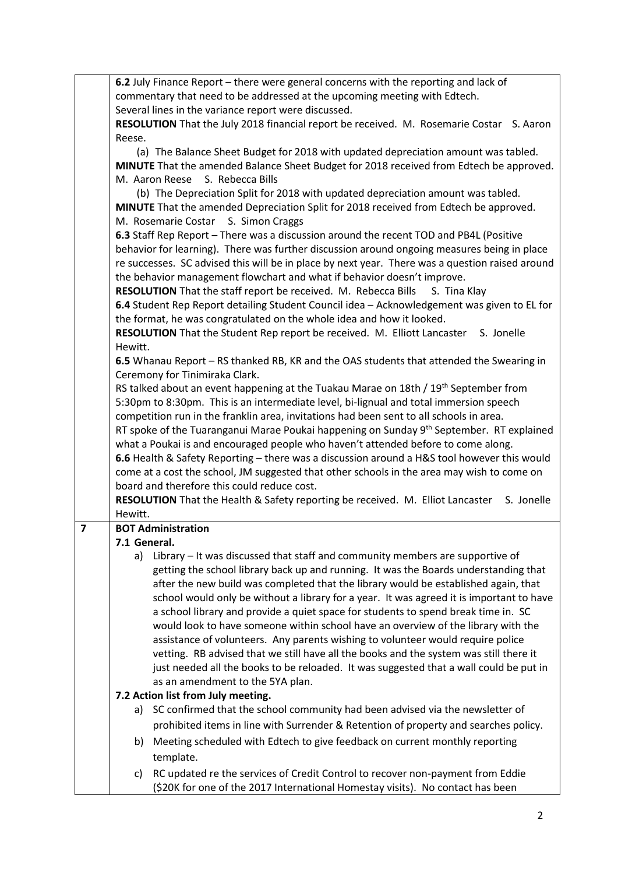|                | 6.2 July Finance Report – there were general concerns with the reporting and lack of                 |  |
|----------------|------------------------------------------------------------------------------------------------------|--|
|                | commentary that need to be addressed at the upcoming meeting with Edtech.                            |  |
|                | Several lines in the variance report were discussed.                                                 |  |
|                | RESOLUTION That the July 2018 financial report be received. M. Rosemarie Costar S. Aaron             |  |
|                | Reese.                                                                                               |  |
|                | (a) The Balance Sheet Budget for 2018 with updated depreciation amount was tabled.                   |  |
|                | MINUTE That the amended Balance Sheet Budget for 2018 received from Edtech be approved.              |  |
|                | M. Aaron Reese<br>S. Rebecca Bills                                                                   |  |
|                | (b) The Depreciation Split for 2018 with updated depreciation amount was tabled.                     |  |
|                | MINUTE That the amended Depreciation Split for 2018 received from Edtech be approved.                |  |
|                | M. Rosemarie Costar S. Simon Craggs                                                                  |  |
|                | 6.3 Staff Rep Report - There was a discussion around the recent TOD and PB4L (Positive               |  |
|                | behavior for learning). There was further discussion around ongoing measures being in place          |  |
|                | re successes. SC advised this will be in place by next year. There was a question raised around      |  |
|                | the behavior management flowchart and what if behavior doesn't improve.                              |  |
|                | RESOLUTION That the staff report be received. M. Rebecca Bills<br>S. Tina Klay                       |  |
|                | 6.4 Student Rep Report detailing Student Council idea - Acknowledgement was given to EL for          |  |
|                | the format, he was congratulated on the whole idea and how it looked.                                |  |
|                | RESOLUTION That the Student Rep report be received. M. Elliott Lancaster<br>S. Jonelle               |  |
|                | Hewitt.                                                                                              |  |
|                | 6.5 Whanau Report - RS thanked RB, KR and the OAS students that attended the Swearing in             |  |
|                | Ceremony for Tinimiraka Clark.                                                                       |  |
|                | RS talked about an event happening at the Tuakau Marae on 18th / 19 <sup>th</sup> September from     |  |
|                | 5:30pm to 8:30pm. This is an intermediate level, bi-lignual and total immersion speech               |  |
|                | competition run in the franklin area, invitations had been sent to all schools in area.              |  |
|                | RT spoke of the Tuaranganui Marae Poukai happening on Sunday 9 <sup>th</sup> September. RT explained |  |
|                | what a Poukai is and encouraged people who haven't attended before to come along.                    |  |
|                | 6.6 Health & Safety Reporting - there was a discussion around a H&S tool however this would          |  |
|                | come at a cost the school, JM suggested that other schools in the area may wish to come on           |  |
|                | board and therefore this could reduce cost.                                                          |  |
|                | <b>RESOLUTION</b> That the Health & Safety reporting be received. M. Elliot Lancaster<br>S. Jonelle  |  |
| $\overline{7}$ | Hewitt.                                                                                              |  |
|                | <b>BOT Administration</b><br>7.1 General.                                                            |  |
|                | a) Library – It was discussed that staff and community members are supportive of                     |  |
|                | getting the school library back up and running. It was the Boards understanding that                 |  |
|                | after the new build was completed that the library would be established again, that                  |  |
|                | school would only be without a library for a year. It was agreed it is important to have             |  |
|                | a school library and provide a quiet space for students to spend break time in. SC                   |  |
|                | would look to have someone within school have an overview of the library with the                    |  |
|                | assistance of volunteers. Any parents wishing to volunteer would require police                      |  |
|                | vetting. RB advised that we still have all the books and the system was still there it               |  |
|                | just needed all the books to be reloaded. It was suggested that a wall could be put in               |  |
|                | as an amendment to the 5YA plan.                                                                     |  |
|                | 7.2 Action list from July meeting.                                                                   |  |
|                | a) SC confirmed that the school community had been advised via the newsletter of                     |  |
|                | prohibited items in line with Surrender & Retention of property and searches policy.                 |  |
|                |                                                                                                      |  |
|                | Meeting scheduled with Edtech to give feedback on current monthly reporting<br>b)                    |  |
|                | template.                                                                                            |  |
|                | RC updated re the services of Credit Control to recover non-payment from Eddie<br>C)                 |  |
|                | (\$20K for one of the 2017 International Homestay visits). No contact has been                       |  |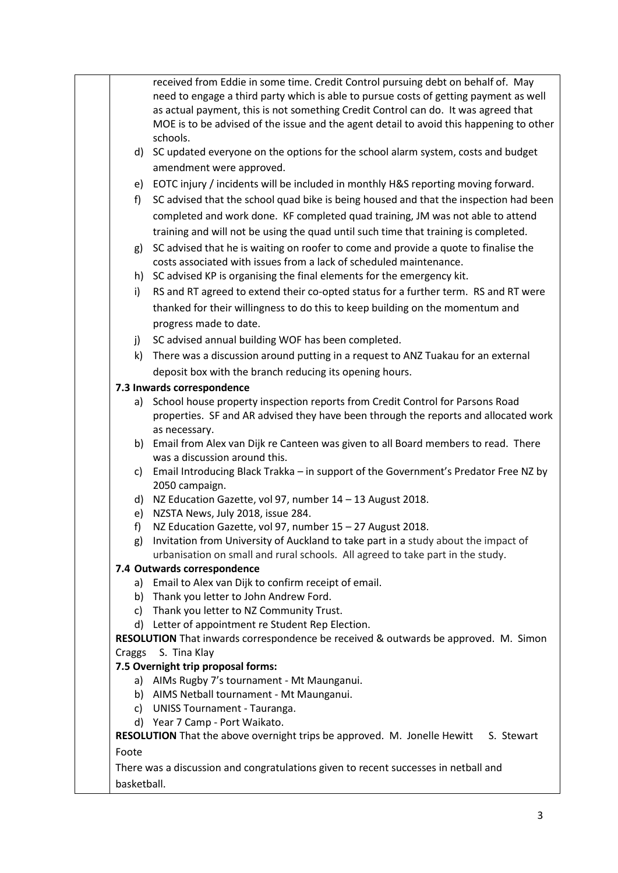| received from Eddie in some time. Credit Control pursuing debt on behalf of. May<br>need to engage a third party which is able to pursue costs of getting payment as well<br>as actual payment, this is not something Credit Control can do. It was agreed that<br>MOE is to be advised of the issue and the agent detail to avoid this happening to other<br>schools.<br>d) SC updated everyone on the options for the school alarm system, costs and budget<br>amendment were approved.<br>e) EOTC injury / incidents will be included in monthly H&S reporting moving forward.<br>SC advised that the school quad bike is being housed and that the inspection had been<br>f)<br>completed and work done. KF completed quad training, JM was not able to attend<br>training and will not be using the quad until such time that training is completed.<br>g) SC advised that he is waiting on roofer to come and provide a quote to finalise the<br>costs associated with issues from a lack of scheduled maintenance.<br>h) SC advised KP is organising the final elements for the emergency kit.<br>RS and RT agreed to extend their co-opted status for a further term. RS and RT were<br>i)<br>thanked for their willingness to do this to keep building on the momentum and<br>progress made to date. |  |
|---------------------------------------------------------------------------------------------------------------------------------------------------------------------------------------------------------------------------------------------------------------------------------------------------------------------------------------------------------------------------------------------------------------------------------------------------------------------------------------------------------------------------------------------------------------------------------------------------------------------------------------------------------------------------------------------------------------------------------------------------------------------------------------------------------------------------------------------------------------------------------------------------------------------------------------------------------------------------------------------------------------------------------------------------------------------------------------------------------------------------------------------------------------------------------------------------------------------------------------------------------------------------------------------------------------|--|
|                                                                                                                                                                                                                                                                                                                                                                                                                                                                                                                                                                                                                                                                                                                                                                                                                                                                                                                                                                                                                                                                                                                                                                                                                                                                                                               |  |
|                                                                                                                                                                                                                                                                                                                                                                                                                                                                                                                                                                                                                                                                                                                                                                                                                                                                                                                                                                                                                                                                                                                                                                                                                                                                                                               |  |
|                                                                                                                                                                                                                                                                                                                                                                                                                                                                                                                                                                                                                                                                                                                                                                                                                                                                                                                                                                                                                                                                                                                                                                                                                                                                                                               |  |
|                                                                                                                                                                                                                                                                                                                                                                                                                                                                                                                                                                                                                                                                                                                                                                                                                                                                                                                                                                                                                                                                                                                                                                                                                                                                                                               |  |
|                                                                                                                                                                                                                                                                                                                                                                                                                                                                                                                                                                                                                                                                                                                                                                                                                                                                                                                                                                                                                                                                                                                                                                                                                                                                                                               |  |
|                                                                                                                                                                                                                                                                                                                                                                                                                                                                                                                                                                                                                                                                                                                                                                                                                                                                                                                                                                                                                                                                                                                                                                                                                                                                                                               |  |
|                                                                                                                                                                                                                                                                                                                                                                                                                                                                                                                                                                                                                                                                                                                                                                                                                                                                                                                                                                                                                                                                                                                                                                                                                                                                                                               |  |
|                                                                                                                                                                                                                                                                                                                                                                                                                                                                                                                                                                                                                                                                                                                                                                                                                                                                                                                                                                                                                                                                                                                                                                                                                                                                                                               |  |
|                                                                                                                                                                                                                                                                                                                                                                                                                                                                                                                                                                                                                                                                                                                                                                                                                                                                                                                                                                                                                                                                                                                                                                                                                                                                                                               |  |
|                                                                                                                                                                                                                                                                                                                                                                                                                                                                                                                                                                                                                                                                                                                                                                                                                                                                                                                                                                                                                                                                                                                                                                                                                                                                                                               |  |
|                                                                                                                                                                                                                                                                                                                                                                                                                                                                                                                                                                                                                                                                                                                                                                                                                                                                                                                                                                                                                                                                                                                                                                                                                                                                                                               |  |
|                                                                                                                                                                                                                                                                                                                                                                                                                                                                                                                                                                                                                                                                                                                                                                                                                                                                                                                                                                                                                                                                                                                                                                                                                                                                                                               |  |
|                                                                                                                                                                                                                                                                                                                                                                                                                                                                                                                                                                                                                                                                                                                                                                                                                                                                                                                                                                                                                                                                                                                                                                                                                                                                                                               |  |
|                                                                                                                                                                                                                                                                                                                                                                                                                                                                                                                                                                                                                                                                                                                                                                                                                                                                                                                                                                                                                                                                                                                                                                                                                                                                                                               |  |
|                                                                                                                                                                                                                                                                                                                                                                                                                                                                                                                                                                                                                                                                                                                                                                                                                                                                                                                                                                                                                                                                                                                                                                                                                                                                                                               |  |
|                                                                                                                                                                                                                                                                                                                                                                                                                                                                                                                                                                                                                                                                                                                                                                                                                                                                                                                                                                                                                                                                                                                                                                                                                                                                                                               |  |
|                                                                                                                                                                                                                                                                                                                                                                                                                                                                                                                                                                                                                                                                                                                                                                                                                                                                                                                                                                                                                                                                                                                                                                                                                                                                                                               |  |
| SC advised annual building WOF has been completed.<br>j)                                                                                                                                                                                                                                                                                                                                                                                                                                                                                                                                                                                                                                                                                                                                                                                                                                                                                                                                                                                                                                                                                                                                                                                                                                                      |  |
| k) There was a discussion around putting in a request to ANZ Tuakau for an external                                                                                                                                                                                                                                                                                                                                                                                                                                                                                                                                                                                                                                                                                                                                                                                                                                                                                                                                                                                                                                                                                                                                                                                                                           |  |
| deposit box with the branch reducing its opening hours.                                                                                                                                                                                                                                                                                                                                                                                                                                                                                                                                                                                                                                                                                                                                                                                                                                                                                                                                                                                                                                                                                                                                                                                                                                                       |  |
| 7.3 Inwards correspondence                                                                                                                                                                                                                                                                                                                                                                                                                                                                                                                                                                                                                                                                                                                                                                                                                                                                                                                                                                                                                                                                                                                                                                                                                                                                                    |  |
| School house property inspection reports from Credit Control for Parsons Road<br>a)                                                                                                                                                                                                                                                                                                                                                                                                                                                                                                                                                                                                                                                                                                                                                                                                                                                                                                                                                                                                                                                                                                                                                                                                                           |  |
| properties. SF and AR advised they have been through the reports and allocated work                                                                                                                                                                                                                                                                                                                                                                                                                                                                                                                                                                                                                                                                                                                                                                                                                                                                                                                                                                                                                                                                                                                                                                                                                           |  |
| as necessary.<br>b) Email from Alex van Dijk re Canteen was given to all Board members to read. There                                                                                                                                                                                                                                                                                                                                                                                                                                                                                                                                                                                                                                                                                                                                                                                                                                                                                                                                                                                                                                                                                                                                                                                                         |  |
| was a discussion around this.                                                                                                                                                                                                                                                                                                                                                                                                                                                                                                                                                                                                                                                                                                                                                                                                                                                                                                                                                                                                                                                                                                                                                                                                                                                                                 |  |
| Email Introducing Black Trakka - in support of the Government's Predator Free NZ by<br>c)                                                                                                                                                                                                                                                                                                                                                                                                                                                                                                                                                                                                                                                                                                                                                                                                                                                                                                                                                                                                                                                                                                                                                                                                                     |  |
| 2050 campaign.                                                                                                                                                                                                                                                                                                                                                                                                                                                                                                                                                                                                                                                                                                                                                                                                                                                                                                                                                                                                                                                                                                                                                                                                                                                                                                |  |
| d) NZ Education Gazette, vol 97, number 14 - 13 August 2018.                                                                                                                                                                                                                                                                                                                                                                                                                                                                                                                                                                                                                                                                                                                                                                                                                                                                                                                                                                                                                                                                                                                                                                                                                                                  |  |
| NZSTA News, July 2018, issue 284.<br>e)                                                                                                                                                                                                                                                                                                                                                                                                                                                                                                                                                                                                                                                                                                                                                                                                                                                                                                                                                                                                                                                                                                                                                                                                                                                                       |  |
| NZ Education Gazette, vol 97, number 15 - 27 August 2018.<br>f)                                                                                                                                                                                                                                                                                                                                                                                                                                                                                                                                                                                                                                                                                                                                                                                                                                                                                                                                                                                                                                                                                                                                                                                                                                               |  |
| g) Invitation from University of Auckland to take part in a study about the impact of                                                                                                                                                                                                                                                                                                                                                                                                                                                                                                                                                                                                                                                                                                                                                                                                                                                                                                                                                                                                                                                                                                                                                                                                                         |  |
| urbanisation on small and rural schools. All agreed to take part in the study.                                                                                                                                                                                                                                                                                                                                                                                                                                                                                                                                                                                                                                                                                                                                                                                                                                                                                                                                                                                                                                                                                                                                                                                                                                |  |
| 7.4 Outwards correspondence                                                                                                                                                                                                                                                                                                                                                                                                                                                                                                                                                                                                                                                                                                                                                                                                                                                                                                                                                                                                                                                                                                                                                                                                                                                                                   |  |
| a) Email to Alex van Dijk to confirm receipt of email.                                                                                                                                                                                                                                                                                                                                                                                                                                                                                                                                                                                                                                                                                                                                                                                                                                                                                                                                                                                                                                                                                                                                                                                                                                                        |  |
| b) Thank you letter to John Andrew Ford.<br>c) Thank you letter to NZ Community Trust.                                                                                                                                                                                                                                                                                                                                                                                                                                                                                                                                                                                                                                                                                                                                                                                                                                                                                                                                                                                                                                                                                                                                                                                                                        |  |
| d) Letter of appointment re Student Rep Election.                                                                                                                                                                                                                                                                                                                                                                                                                                                                                                                                                                                                                                                                                                                                                                                                                                                                                                                                                                                                                                                                                                                                                                                                                                                             |  |
| RESOLUTION That inwards correspondence be received & outwards be approved. M. Simon                                                                                                                                                                                                                                                                                                                                                                                                                                                                                                                                                                                                                                                                                                                                                                                                                                                                                                                                                                                                                                                                                                                                                                                                                           |  |
| S. Tina Klay<br>Craggs                                                                                                                                                                                                                                                                                                                                                                                                                                                                                                                                                                                                                                                                                                                                                                                                                                                                                                                                                                                                                                                                                                                                                                                                                                                                                        |  |
| 7.5 Overnight trip proposal forms:                                                                                                                                                                                                                                                                                                                                                                                                                                                                                                                                                                                                                                                                                                                                                                                                                                                                                                                                                                                                                                                                                                                                                                                                                                                                            |  |
| a) AIMs Rugby 7's tournament - Mt Maunganui.                                                                                                                                                                                                                                                                                                                                                                                                                                                                                                                                                                                                                                                                                                                                                                                                                                                                                                                                                                                                                                                                                                                                                                                                                                                                  |  |
| b) AIMS Netball tournament - Mt Maunganui.                                                                                                                                                                                                                                                                                                                                                                                                                                                                                                                                                                                                                                                                                                                                                                                                                                                                                                                                                                                                                                                                                                                                                                                                                                                                    |  |
| c) UNISS Tournament - Tauranga.                                                                                                                                                                                                                                                                                                                                                                                                                                                                                                                                                                                                                                                                                                                                                                                                                                                                                                                                                                                                                                                                                                                                                                                                                                                                               |  |
| d) Year 7 Camp - Port Waikato.                                                                                                                                                                                                                                                                                                                                                                                                                                                                                                                                                                                                                                                                                                                                                                                                                                                                                                                                                                                                                                                                                                                                                                                                                                                                                |  |
| RESOLUTION That the above overnight trips be approved. M. Jonelle Hewitt<br>S. Stewart                                                                                                                                                                                                                                                                                                                                                                                                                                                                                                                                                                                                                                                                                                                                                                                                                                                                                                                                                                                                                                                                                                                                                                                                                        |  |
| Foote                                                                                                                                                                                                                                                                                                                                                                                                                                                                                                                                                                                                                                                                                                                                                                                                                                                                                                                                                                                                                                                                                                                                                                                                                                                                                                         |  |
| There was a discussion and congratulations given to recent successes in netball and                                                                                                                                                                                                                                                                                                                                                                                                                                                                                                                                                                                                                                                                                                                                                                                                                                                                                                                                                                                                                                                                                                                                                                                                                           |  |
| basketball.                                                                                                                                                                                                                                                                                                                                                                                                                                                                                                                                                                                                                                                                                                                                                                                                                                                                                                                                                                                                                                                                                                                                                                                                                                                                                                   |  |